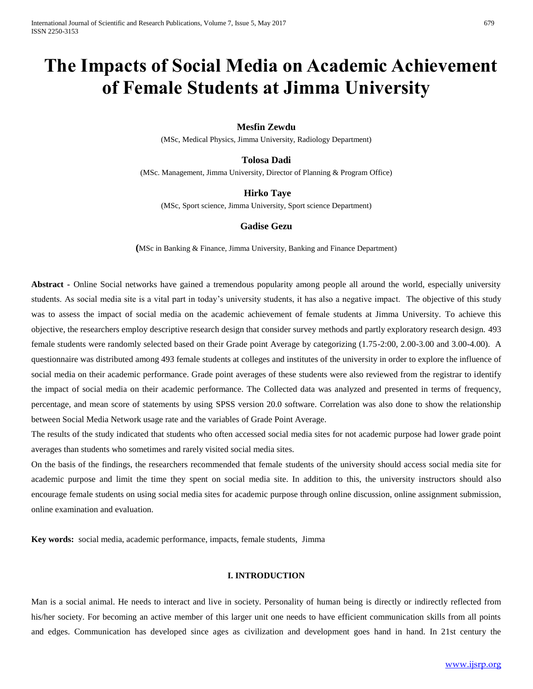# **The Impacts of Social Media on Academic Achievement of Female Students at Jimma University**

# **Mesfin Zewdu**

(MSc, Medical Physics, Jimma University, Radiology Department)

### **Tolosa Dadi**

(MSc. Management, Jimma University, Director of Planning & Program Office)

# **Hirko Taye**

(MSc, Sport science, Jimma University, Sport science Department)

# **Gadise Gezu**

**(**MSc in Banking & Finance, Jimma University, Banking and Finance Department)

**Abstract -** Online Social networks have gained a tremendous popularity among people all around the world, especially university students. As social media site is a vital part in today's university students, it has also a negative impact. The objective of this study was to assess the impact of social media on the academic achievement of female students at Jimma University. To achieve this objective, the researchers employ descriptive research design that consider survey methods and partly exploratory research design. 493 female students were randomly selected based on their Grade point Average by categorizing (1.75-2:00, 2.00-3.00 and 3.00-4.00). A questionnaire was distributed among 493 female students at colleges and institutes of the university in order to explore the influence of social media on their academic performance. Grade point averages of these students were also reviewed from the registrar to identify the impact of social media on their academic performance. The Collected data was analyzed and presented in terms of frequency, percentage, and mean score of statements by using SPSS version 20.0 software. Correlation was also done to show the relationship between Social Media Network usage rate and the variables of Grade Point Average.

The results of the study indicated that students who often accessed social media sites for not academic purpose had lower grade point averages than students who sometimes and rarely visited social media sites.

On the basis of the findings, the researchers recommended that female students of the university should access social media site for academic purpose and limit the time they spent on social media site. In addition to this, the university instructors should also encourage female students on using social media sites for academic purpose through online discussion, online assignment submission, online examination and evaluation.

**Key words:** social media, academic performance, impacts, female students, Jimma

### **I. INTRODUCTION**

Man is a social animal. He needs to interact and live in society. Personality of human being is directly or indirectly reflected from his/her society. For becoming an active member of this larger unit one needs to have efficient communication skills from all points and edges. Communication has developed since ages as civilization and development goes hand in hand. In 21st century the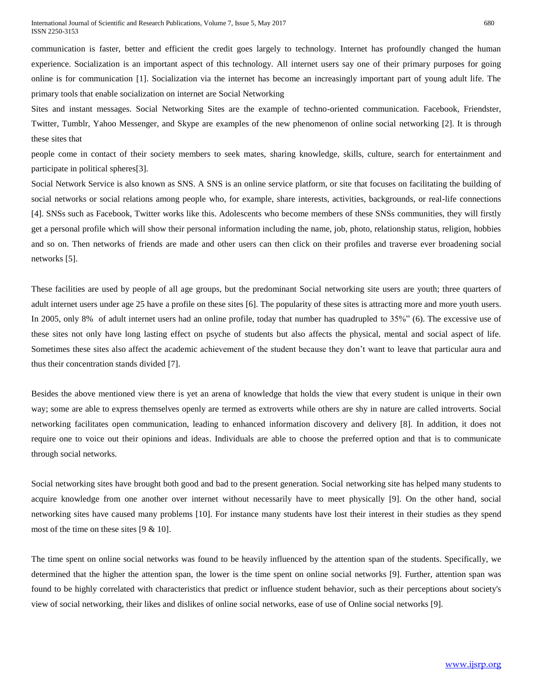communication is faster, better and efficient the credit goes largely to technology. Internet has profoundly changed the human experience. Socialization is an important aspect of this technology. All internet users say one of their primary purposes for going online is for communication [1]. Socialization via the internet has become an increasingly important part of young adult life. The primary tools that enable socialization on internet are Social Networking

Sites and instant messages. Social Networking Sites are the example of techno-oriented communication. Facebook, Friendster, Twitter, Tumblr, Yahoo Messenger, and Skype are examples of the new phenomenon of online social networking [2]. It is through these sites that

people come in contact of their society members to seek mates, sharing knowledge, skills, culture, search for entertainment and participate in political spheres[3].

Social Network Service is also known as SNS. A SNS is an online service platform, or site that focuses on facilitating the building of social networks or social relations among people who, for example, share interests, activities, backgrounds, or real-life connections [4]. SNSs such as Facebook, Twitter works like this. Adolescents who become members of these SNSs communities, they will firstly get a personal profile which will show their personal information including the name, job, photo, relationship status, religion, hobbies and so on. Then networks of friends are made and other users can then click on their profiles and traverse ever broadening social networks [5].

These facilities are used by people of all age groups, but the predominant Social networking site users are youth; three quarters of adult internet users under age 25 have a profile on these sites [6]. The popularity of these sites is attracting more and more youth users. In 2005, only 8% of adult internet users had an online profile, today that number has quadrupled to 35%" (6). The excessive use of these sites not only have long lasting effect on psyche of students but also affects the physical, mental and social aspect of life. Sometimes these sites also affect the academic achievement of the student because they don't want to leave that particular aura and thus their concentration stands divided [7].

Besides the above mentioned view there is yet an arena of knowledge that holds the view that every student is unique in their own way; some are able to express themselves openly are termed as extroverts while others are shy in nature are called introverts. Social networking facilitates open communication, leading to enhanced information discovery and delivery [8]. In addition, it does not require one to voice out their opinions and ideas. Individuals are able to choose the preferred option and that is to communicate through social networks.

Social networking sites have brought both good and bad to the present generation. Social networking site has helped many students to acquire knowledge from one another over internet without necessarily have to meet physically [9]. On the other hand, social networking sites have caused many problems [10]. For instance many students have lost their interest in their studies as they spend most of the time on these sites [9 & 10].

The time spent on online social networks was found to be heavily influenced by the attention span of the students. Specifically, we determined that the higher the attention span, the lower is the time spent on online social networks [9]. Further, attention span was found to be highly correlated with characteristics that predict or influence student behavior, such as their perceptions about society's view of social networking, their likes and dislikes of online social networks, ease of use of Online social networks [9].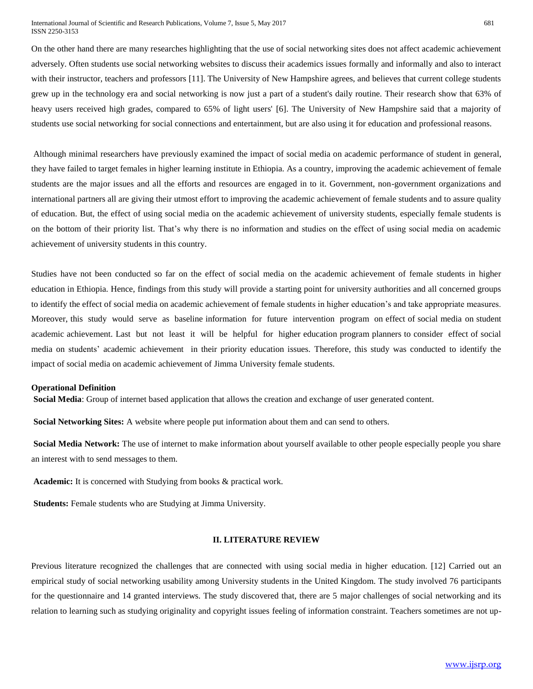On the other hand there are many researches highlighting that the use of social networking sites does not affect academic achievement adversely. Often students use social networking websites to discuss their academics issues formally and informally and also to interact with their instructor, teachers and professors [11]. The University of New Hampshire agrees, and believes that current college students grew up in the technology era and social networking is now just a part of a student's daily routine. Their research show that 63% of heavy users received high grades, compared to 65% of light users' [6]. The University of New Hampshire said that a majority of students use social networking for social connections and entertainment, but are also using it for education and professional reasons.

Although minimal researchers have previously examined the impact of social media on academic performance of student in general, they have failed to target females in higher learning institute in Ethiopia. As a country, improving the academic achievement of female students are the major issues and all the efforts and resources are engaged in to it. Government, non-government organizations and international partners all are giving their utmost effort to improving the academic achievement of female students and to assure quality of education. But, the effect of using social media on the academic achievement of university students, especially female students is on the bottom of their priority list. That's why there is no information and studies on the effect of using social media on academic achievement of university students in this country.

Studies have not been conducted so far on the effect of social media on the academic achievement of female students in higher education in Ethiopia. Hence, findings from this study will provide a starting point for university authorities and all concerned groups to identify the effect of social media on academic achievement of female students in higher education's and take appropriate measures. Moreover, this study would serve as baseline information for future intervention program on effect of social media on student academic achievement. Last but not least it will be helpful for higher education program planners to consider effect of social media on students' academic achievement in their priority education issues. Therefore, this study was conducted to identify the impact of social media on academic achievement of Jimma University female students.

### **Operational Definition**

**Social Media**: Group of internet based application that allows the creation and exchange of user generated content.

**Social Networking Sites:** A website where people put information about them and can send to others.

**Social Media Network:** The use of internet to make information about yourself available to other people especially people you share an interest with to send messages to them.

**Academic:** It is concerned with Studying from books & practical work.

**Students:** Female students who are Studying at Jimma University.

### **II. LITERATURE REVIEW**

Previous literature recognized the challenges that are connected with using social media in higher education. [12] Carried out an empirical study of social networking usability among University students in the United Kingdom. The study involved 76 participants for the questionnaire and 14 granted interviews. The study discovered that, there are 5 major challenges of social networking and its relation to learning such as studying originality and copyright issues feeling of information constraint. Teachers sometimes are not up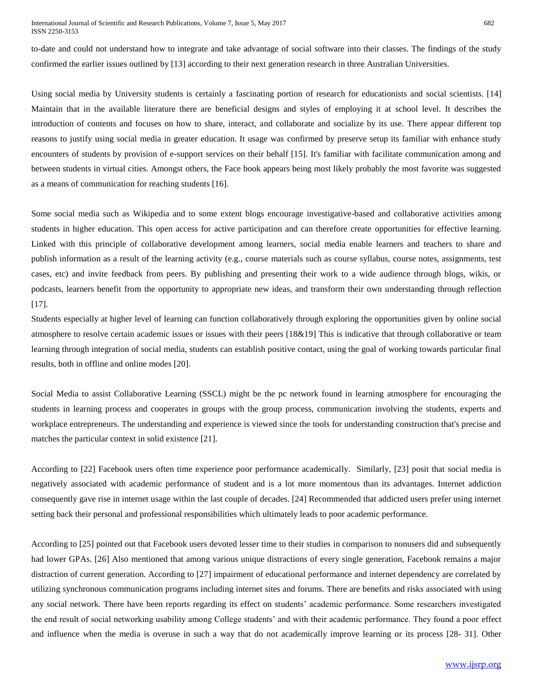to-date and could not understand how to integrate and take advantage of social software into their classes. The findings of the study confirmed the earlier issues outlined by [13] according to their next generation research in three Australian Universities.

Using social media by University students is certainly a fascinating portion of research for educationists and social scientists. [14] Maintain that in the available literature there are beneficial designs and styles of employing it at school level. It describes the introduction of contents and focuses on how to share, interact, and collaborate and socialize by its use. There appear different top reasons to justify using social media in greater education. It usage was confirmed by preserve setup its familiar with enhance study encounters of students by provision of e-support services on their behalf [15]. It's familiar with facilitate communication among and between students in virtual cities. Amongst others, the Face book appears being most likely probably the most favorite was suggested as a means of communication for reaching students [16].

Some social media such as Wikipedia and to some extent blogs encourage investigative-based and collaborative activities among students in higher education. This open access for active participation and can therefore create opportunities for effective learning. Linked with this principle of collaborative development among learners, social media enable learners and teachers to share and publish information as a result of the learning activity (e.g., course materials such as course syllabus, course notes, assignments, test cases, etc) and invite feedback from peers. By publishing and presenting their work to a wide audience through blogs, wikis, or podcasts, learners benefit from the opportunity to appropriate new ideas, and transform their own understanding through reflection [17].

Students especially at higher level of learning can function collaboratively through exploring the opportunities given by online social atmosphere to resolve certain academic issues or issues with their peers [18&19] This is indicative that through collaborative or team learning through integration of social media, students can establish positive contact, using the goal of working towards particular final results, both in offline and online modes [20].

Social Media to assist Collaborative Learning (SSCL) might be the pc network found in learning atmosphere for encouraging the students in learning process and cooperates in groups with the group process, communication involving the students, experts and workplace entrepreneurs. The understanding and experience is viewed since the tools for understanding construction that's precise and matches the particular context in solid existence [21].

According to [22] Facebook users often time experience poor performance academically. Similarly, [23] posit that social media is negatively associated with academic performance of student and is a lot more momentous than its advantages. Internet addiction consequently gave rise in internet usage within the last couple of decades. [24] Recommended that addicted users prefer using internet setting back their personal and professional responsibilities which ultimately leads to poor academic performance.

According to [25] pointed out that Facebook users devoted lesser time to their studies in comparison to nonusers did and subsequently had lower GPAs. [26] Also mentioned that among various unique distractions of every single generation, Facebook remains a major distraction of current generation. According to [27] impairment of educational performance and internet dependency are correlated by utilizing synchronous communication programs including internet sites and forums. There are benefits and risks associated with using any social network. There have been reports regarding its effect on students' academic performance. Some researchers investigated the end result of social networking usability among College students' and with their academic performance. They found a poor effect and influence when the media is overuse in such a way that do not academically improve learning or its process [28- 31]. Other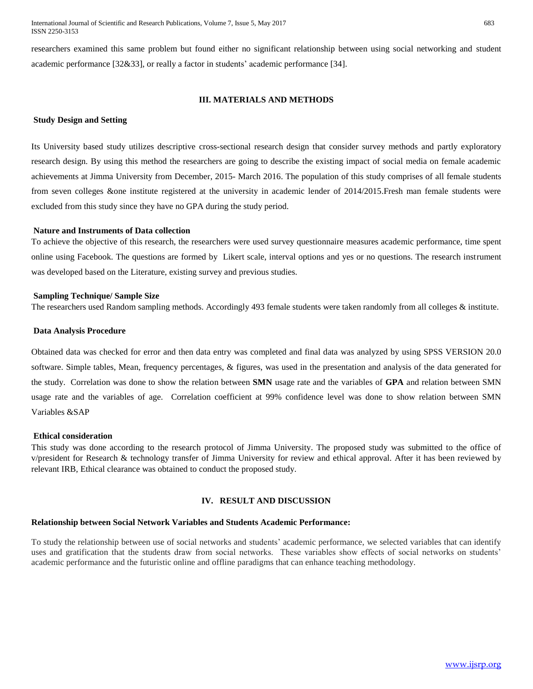researchers examined this same problem but found either no significant relationship between using social networking and student academic performance [32&33], or really a factor in students' academic performance [34].

# **III. MATERIALS AND METHODS**

### **Study Design and Setting**

Its University based study utilizes descriptive cross-sectional research design that consider survey methods and partly exploratory research design. By using this method the researchers are going to describe the existing impact of social media on female academic achievements at Jimma University from December, 2015- March 2016. The population of this study comprises of all female students from seven colleges &one institute registered at the university in academic lender of 2014/2015.Fresh man female students were excluded from this study since they have no GPA during the study period.

### **Nature and Instruments of Data collection**

To achieve the objective of this research, the researchers were used survey questionnaire measures academic performance, time spent online using Facebook. The questions are formed by Likert scale, interval options and yes or no questions. The research instrument was developed based on the Literature, existing survey and previous studies.

### **Sampling Technique/ Sample Size**

The researchers used Random sampling methods. Accordingly 493 female students were taken randomly from all colleges & institute.

### **Data Analysis Procedure**

Obtained data was checked for error and then data entry was completed and final data was analyzed by using SPSS VERSION 20.0 software. Simple tables, Mean, frequency percentages, & figures, was used in the presentation and analysis of the data generated for the study. Correlation was done to show the relation between **SMN** usage rate and the variables of **GPA** and relation between SMN usage rate and the variables of age. Correlation coefficient at 99% confidence level was done to show relation between SMN Variables &SAP

### **Ethical consideration**

This study was done according to the research protocol of Jimma University. The proposed study was submitted to the office of v/president for Research & technology transfer of Jimma University for review and ethical approval. After it has been reviewed by relevant IRB, Ethical clearance was obtained to conduct the proposed study.

### **IV. RESULT AND DISCUSSION**

# **Relationship between Social Network Variables and Students Academic Performance:**

To study the relationship between use of social networks and students' academic performance, we selected variables that can identify uses and gratification that the students draw from social networks. These variables show effects of social networks on students' academic performance and the futuristic online and offline paradigms that can enhance teaching methodology.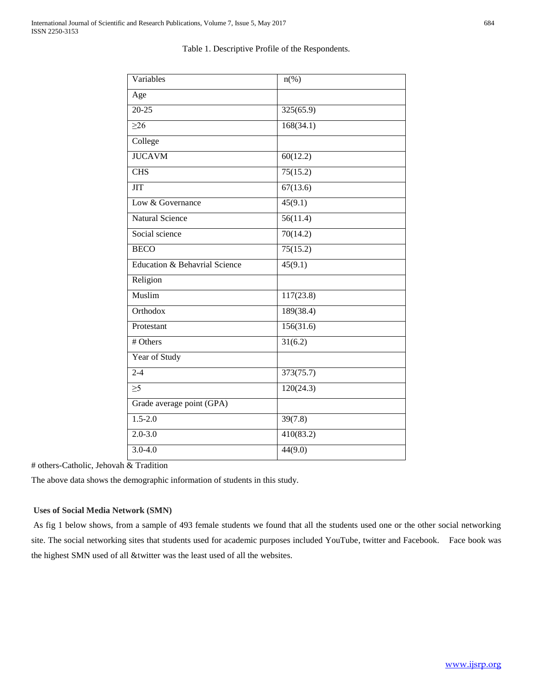| Variables                     | $n\left(\%\right)$ |
|-------------------------------|--------------------|
| Age                           |                    |
| $\overline{20-25}$            | 325(65.9)          |
| $\geq 26$                     | 168(34.1)          |
| College                       |                    |
| <b>JUCAVM</b>                 | 60(12.2)           |
| <b>CHS</b>                    | 75(15.2)           |
| <b>JIT</b>                    | 67(13.6)           |
| Low & Governance              | 45(9.1)            |
| <b>Natural Science</b>        | 56(11.4)           |
| Social science                | 70(14.2)           |
| <b>BECO</b>                   | 75(15.2)           |
| Education & Behavrial Science | 45(9.1)            |
| Religion                      |                    |
| Muslim                        | 117(23.8)          |
| Orthodox                      | 189(38.4)          |
| Protestant                    | 156(31.6)          |
| # Others                      | 31(6.2)            |
| Year of Study                 |                    |
| $2 - 4$                       | 373(75.7)          |
| $\geq 5$                      | 120(24.3)          |
| Grade average point (GPA)     |                    |
| $1.5 - 2.0$                   | 39(7.8)            |
| $2.0 - 3.0$                   | 410(83.2)          |
| $3.0 - 4.0$                   | 44(9.0)            |

Table 1. Descriptive Profile of the Respondents.

# others-Catholic, Jehovah & Tradition

The above data shows the demographic information of students in this study.

# **Uses of Social Media Network (SMN)**

As fig 1 below shows, from a sample of 493 female students we found that all the students used one or the other social networking site. The social networking sites that students used for academic purposes included YouTube, twitter and Facebook. Face book was the highest SMN used of all &twitter was the least used of all the websites.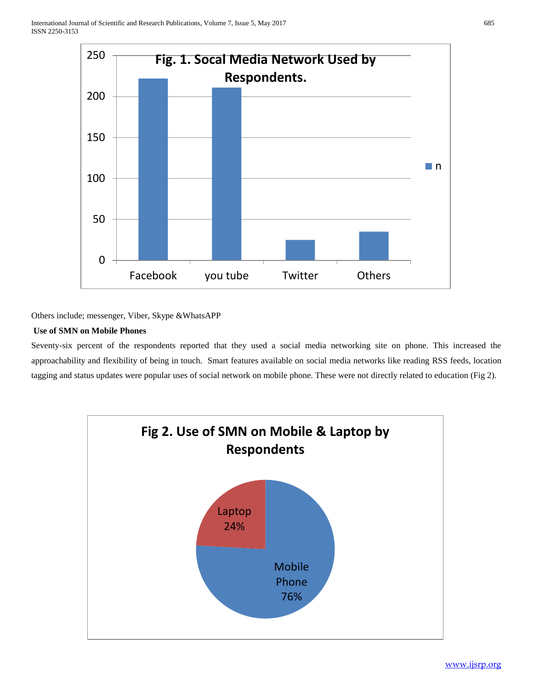

Others include; messenger, Viber, Skype &WhatsAPP

# **Use of SMN on Mobile Phones**

Seventy-six percent of the respondents reported that they used a social media networking site on phone. This increased the approachability and flexibility of being in touch. Smart features available on social media networks like reading RSS feeds, location tagging and status updates were popular uses of social network on mobile phone. These were not directly related to education (Fig 2).



[www.ijsrp.org](http://ijsrp.org/)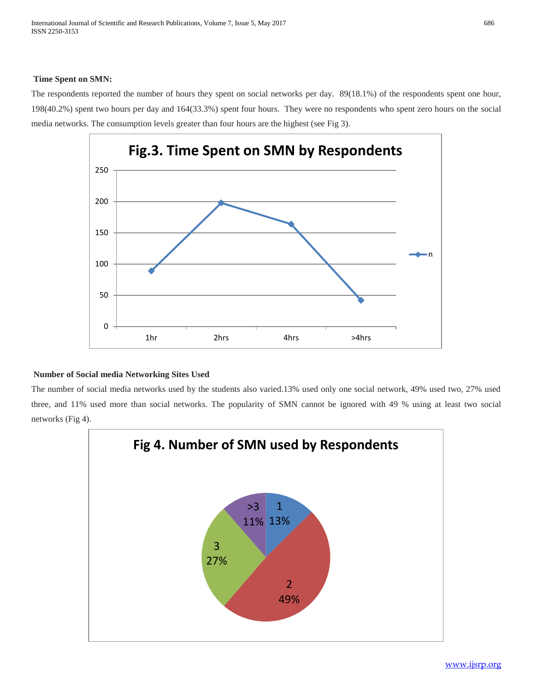# **Time Spent on SMN:**

The respondents reported the number of hours they spent on social networks per day. 89(18.1%) of the respondents spent one hour, 198(40.2%) spent two hours per day and 164(33.3%) spent four hours. They were no respondents who spent zero hours on the social media networks. The consumption levels greater than four hours are the highest (see Fig 3).



# **Number of Social media Networking Sites Used**

The number of social media networks used by the students also varied.13% used only one social network, 49% used two, 27% used three, and 11% used more than social networks. The popularity of SMN cannot be ignored with 49 % using at least two social networks (Fig 4).



[www.ijsrp.org](http://ijsrp.org/)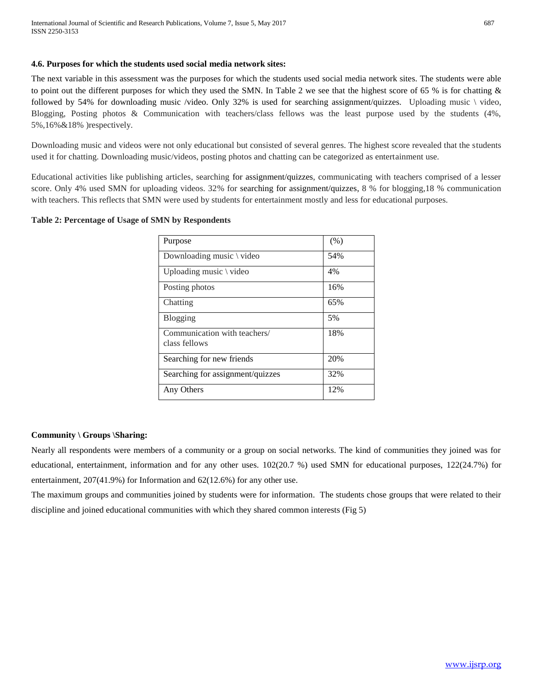# **4.6. Purposes for which the students used social media network sites:**

The next variable in this assessment was the purposes for which the students used social media network sites. The students were able to point out the different purposes for which they used the SMN. In Table 2 we see that the highest score of 65 % is for chatting & followed by 54% for downloading music /video. Only 32% is used for searching assignment/quizzes. Uploading music \ video, Blogging, Posting photos & Communication with teachers/class fellows was the least purpose used by the students (4%, 5%,16%&18% )respectively.

Downloading music and videos were not only educational but consisted of several genres. The highest score revealed that the students used it for chatting. Downloading music/videos, posting photos and chatting can be categorized as entertainment use.

Educational activities like publishing articles, searching for assignment/quizzes, communicating with teachers comprised of a lesser score. Only 4% used SMN for uploading videos. 32% for searching for assignment/quizzes, 8 % for blogging,18 % communication with teachers. This reflects that SMN were used by students for entertainment mostly and less for educational purposes.

# **Table 2: Percentage of Usage of SMN by Respondents**

| Purpose                                       | (% ) |
|-----------------------------------------------|------|
| Downloading music \ video                     | 54%  |
| Uploading music \ video                       | 4%   |
| Posting photos                                | 16%  |
| Chatting                                      | 65%  |
| <b>Blogging</b>                               | 5%   |
| Communication with teachers/<br>class fellows | 18%  |
| Searching for new friends                     | 20%  |
| Searching for assignment/quizzes              | 32%  |
| Any Others                                    | 12%  |

# **Community \ Groups \Sharing:**

Nearly all respondents were members of a community or a group on social networks. The kind of communities they joined was for educational, entertainment, information and for any other uses.  $102(20.7 %)$  used SMN for educational purposes,  $122(24.7%)$  for entertainment, 207(41.9%) for Information and 62(12.6%) for any other use.

The maximum groups and communities joined by students were for information. The students chose groups that were related to their discipline and joined educational communities with which they shared common interests (Fig 5)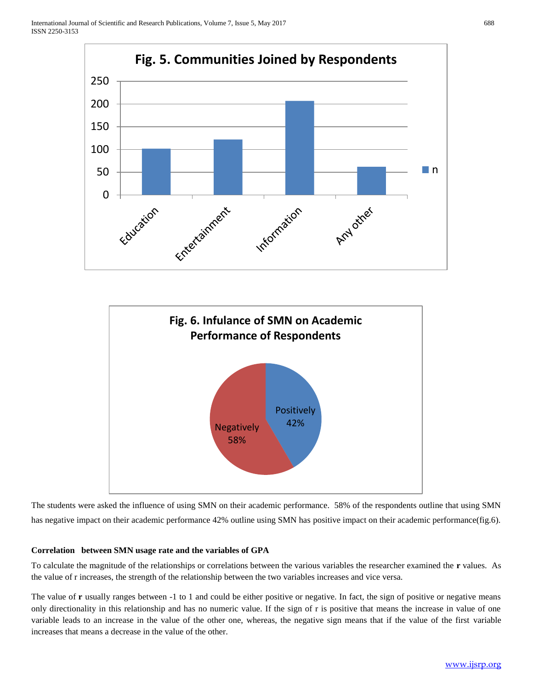



The students were asked the influence of using SMN on their academic performance. 58% of the respondents outline that using SMN has negative impact on their academic performance 42% outline using SMN has positive impact on their academic performance(fig.6).

# **Correlation between SMN usage rate and the variables of GPA**

To calculate the magnitude of the relationships or correlations between the various variables the researcher examined the **r** values. As the value of r increases, the strength of the relationship between the two variables increases and vice versa.

The value of **r** usually ranges between -1 to 1 and could be either positive or negative. In fact, the sign of positive or negative means only directionality in this relationship and has no numeric value. If the sign of r is positive that means the increase in value of one variable leads to an increase in the value of the other one, whereas, the negative sign means that if the value of the first variable increases that means a decrease in the value of the other.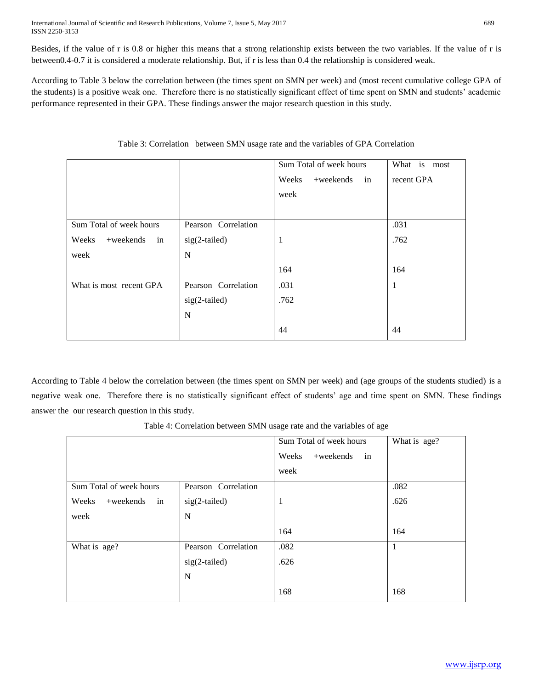Besides, if the value of r is 0.8 or higher this means that a strong relationship exists between the two variables. If the value of r is between0.4-0.7 it is considered a moderate relationship. But, if r is less than 0.4 the relationship is considered weak.

According to Table 3 below the correlation between (the times spent on SMN per week) and (most recent cumulative college GPA of the students) is a positive weak one. Therefore there is no statistically significant effect of time spent on SMN and students' academic performance represented in their GPA. These findings answer the major research question in this study.

|                          |                     | Sum Total of week hours     | What is most |
|--------------------------|---------------------|-----------------------------|--------------|
|                          |                     | Weeks<br>$+$ weekends<br>in | recent GPA   |
|                          |                     | week                        |              |
|                          |                     |                             |              |
| Sum Total of week hours  | Pearson Correlation |                             | .031         |
| Weeks<br>+weekends<br>in | $sig(2-tailed)$     | 1                           | .762         |
| week                     | N                   |                             |              |
|                          |                     | 164                         | 164          |
| What is most recent GPA  | Pearson Correlation | .031                        | $\mathbf{1}$ |
|                          | sig(2-tailed)       | .762                        |              |
|                          | N                   |                             |              |
|                          |                     | 44                          | 44           |

|  |  | Table 3: Correlation between SMN usage rate and the variables of GPA Correlation |  |
|--|--|----------------------------------------------------------------------------------|--|
|--|--|----------------------------------------------------------------------------------|--|

According to Table 4 below the correlation between (the times spent on SMN per week) and (age groups of the students studied) is a negative weak one. Therefore there is no statistically significant effect of students' age and time spent on SMN. These findings answer the our research question in this study.

|                             |                     | Table 4: Correlation between SMIN usage rate and the variables of age |              |
|-----------------------------|---------------------|-----------------------------------------------------------------------|--------------|
|                             |                     | Sum Total of week hours                                               | What is age? |
|                             |                     | $+$ weekends<br>Weeks<br>in                                           |              |
|                             |                     | week                                                                  |              |
| Sum Total of week hours     | Pearson Correlation |                                                                       | .082         |
| Weeks<br>$+$ weekends<br>in | $sig(2-tailed)$     |                                                                       | .626         |
| week                        | N                   |                                                                       |              |
|                             |                     | 164                                                                   | 164          |
| What is age?                | Pearson Correlation | .082                                                                  |              |
|                             | $sig(2-tailed)$     | .626                                                                  |              |
|                             |                     |                                                                       |              |

168

N

Table 4: Correlation between SMN usage rate and the variables of age

168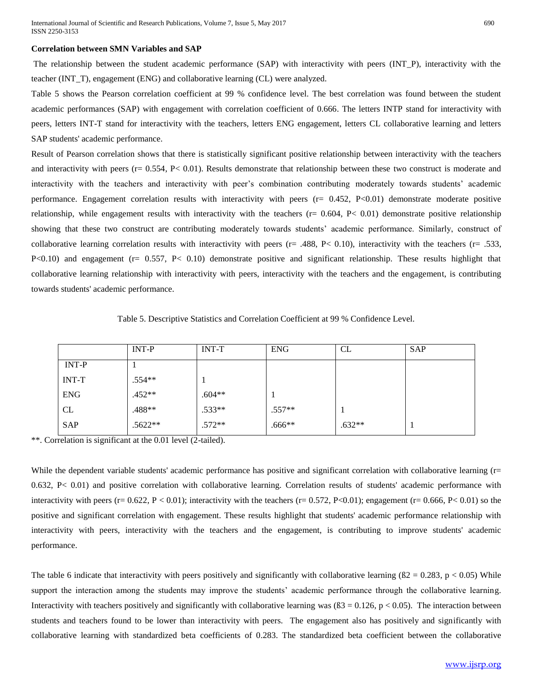### **Correlation between SMN Variables and SAP**

The relationship between the student academic performance (SAP) with interactivity with peers (INT\_P), interactivity with the teacher (INT\_T), engagement (ENG) and collaborative learning (CL) were analyzed.

Table 5 shows the Pearson correlation coefficient at 99 % confidence level. The best correlation was found between the student academic performances (SAP) with engagement with correlation coefficient of 0.666. The letters INTP stand for interactivity with peers, letters INT-T stand for interactivity with the teachers, letters ENG engagement, letters CL collaborative learning and letters SAP students' academic performance.

Result of Pearson correlation shows that there is statistically significant positive relationship between interactivity with the teachers and interactivity with peers ( $r = 0.554$ ,  $P < 0.01$ ). Results demonstrate that relationship between these two construct is moderate and interactivity with the teachers and interactivity with peer's combination contributing moderately towards students' academic performance. Engagement correlation results with interactivity with peers (r= 0.452, P<0.01) demonstrate moderate positive relationship, while engagement results with interactivity with the teachers ( $r = 0.604$ ,  $P < 0.01$ ) demonstrate positive relationship showing that these two construct are contributing moderately towards students' academic performance. Similarly, construct of collaborative learning correlation results with interactivity with peers ( $r = .488$ ,  $P < 0.10$ ), interactivity with the teachers ( $r = .533$ , P<0.10) and engagement (r= 0.557, P< 0.10) demonstrate positive and significant relationship. These results highlight that collaborative learning relationship with interactivity with peers, interactivity with the teachers and the engagement, is contributing towards students' academic performance.

Table 5. Descriptive Statistics and Correlation Coefficient at 99 % Confidence Level.

|              | <b>INT-P</b> | <b>INT-T</b> | <b>ENG</b> | CL       | SAP |
|--------------|--------------|--------------|------------|----------|-----|
| <b>INT-P</b> |              |              |            |          |     |
| <b>INT-T</b> | $.554**$     |              |            |          |     |
| <b>ENG</b>   | $.452**$     | $.604**$     |            |          |     |
| <b>CL</b>    | .488**       | $.533**$     | $.557**$   |          |     |
| <b>SAP</b>   | .5622**      | $.572**$     | $.666**$   | $.632**$ |     |

\*\*. Correlation is significant at the 0.01 level (2-tailed).

While the dependent variable students' academic performance has positive and significant correlation with collaborative learning (r= 0.632, P< 0.01) and positive correlation with collaborative learning. Correlation results of students' academic performance with interactivity with peers (r=  $0.622$ , P < 0.01); interactivity with the teachers (r= 0.572, P<0.01); engagement (r= 0.666, P< 0.01) so the positive and significant correlation with engagement. These results highlight that students' academic performance relationship with interactivity with peers, interactivity with the teachers and the engagement, is contributing to improve students' academic performance.

The table 6 indicate that interactivity with peers positively and significantly with collaborative learning  $(B2 = 0.283, p < 0.05)$  While support the interaction among the students may improve the students' academic performance through the collaborative learning. Interactivity with teachers positively and significantly with collaborative learning was  $(83 = 0.126, p < 0.05)$ . The interaction between students and teachers found to be lower than interactivity with peers. The engagement also has positively and significantly with collaborative learning with standardized beta coefficients of 0.283. The standardized beta coefficient between the collaborative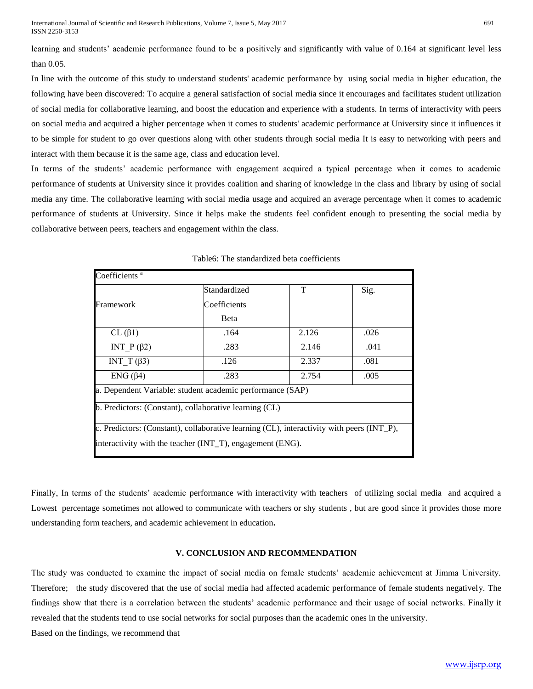learning and students' academic performance found to be a positively and significantly with value of 0.164 at significant level less than 0.05.

In line with the outcome of this study to understand students' academic performance by using social media in higher education, the following have been discovered: To acquire a general satisfaction of social media since it encourages and facilitates student utilization of social media for collaborative learning, and boost the education and experience with a students. In terms of interactivity with peers on social media and acquired a higher percentage when it comes to students' academic performance at University since it influences it to be simple for student to go over questions along with other students through social media It is easy to networking with peers and interact with them because it is the same age, class and education level.

In terms of the students' academic performance with engagement acquired a typical percentage when it comes to academic performance of students at University since it provides coalition and sharing of knowledge in the class and library by using of social media any time. The collaborative learning with social media usage and acquired an average percentage when it comes to academic performance of students at University. Since it helps make the students feel confident enough to presenting the social media by collaborative between peers, teachers and engagement within the class.

| Coefficients <sup>a</sup> |                                                                                           |       |      |
|---------------------------|-------------------------------------------------------------------------------------------|-------|------|
|                           | Standardized                                                                              | T     | Sig. |
| Framework                 | Coefficients                                                                              |       |      |
|                           | <b>B</b> eta                                                                              |       |      |
| $CL$ ( $\beta$ 1)         | .164                                                                                      | 2.126 | .026 |
| INT $P(\beta2)$           | .283                                                                                      | 2.146 | .041 |
| INT T $(\beta 3)$         | .126                                                                                      | 2.337 | .081 |
| $ENG(\beta4)$             | .283                                                                                      | 2.754 | .005 |
|                           | a. Dependent Variable: student academic performance (SAP)                                 |       |      |
|                           | b. Predictors: (Constant), collaborative learning (CL)                                    |       |      |
|                           | c. Predictors: (Constant), collaborative learning (CL), interactivity with peers (INT_P), |       |      |
|                           | interactivity with the teacher (INT_T), engagement (ENG).                                 |       |      |

Table6: The standardized beta coefficients

Finally, In terms of the students' academic performance with interactivity with teachers of utilizing social media and acquired a Lowest percentage sometimes not allowed to communicate with teachers or shy students, but are good since it provides those more understanding form teachers, and academic achievement in education**.**

### **V. CONCLUSION AND RECOMMENDATION**

The study was conducted to examine the impact of social media on female students' academic achievement at Jimma University. Therefore; the study discovered that the use of social media had affected academic performance of female students negatively. The findings show that there is a correlation between the students' academic performance and their usage of social networks. Finally it revealed that the students tend to use social networks for social purposes than the academic ones in the university.

Based on the findings, we recommend that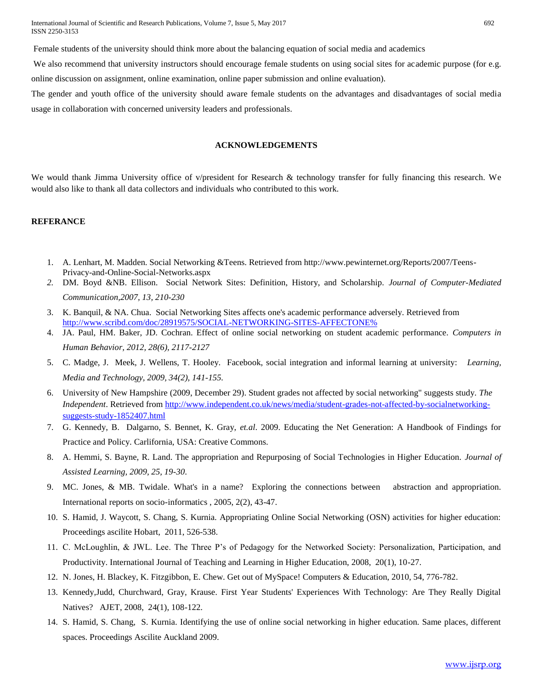International Journal of Scientific and Research Publications, Volume 7, Issue 5, May 2017 692 ISSN 2250-3153

Female students of the university should think more about the balancing equation of social media and academics

We also recommend that university instructors should encourage female students on using social sites for academic purpose (for e.g. online discussion on assignment, online examination, online paper submission and online evaluation).

The gender and youth office of the university should aware female students on the advantages and disadvantages of social media usage in collaboration with concerned university leaders and professionals.

# **ACKNOWLEDGEMENTS**

We would thank Jimma University office of v/president for Research & technology transfer for fully financing this research. We would also like to thank all data collectors and individuals who contributed to this work.

### **REFERANCE**

- 1. A. Lenhart, M. Madden. Social Networking &Teens. Retrieved from http://www.pewinternet.org/Reports/2007/Teens-Privacy-and-Online-Social-Networks.aspx
- *2.* DM. Boyd &NB. Ellison. Social Network Sites: Definition, History, and Scholarship. *Journal of Computer-Mediated Communication,2007, 13, 210-230*
- 3. K. Banquil, & NA. Chua. Social Networking Sites affects one's academic performance adversely. Retrieved from [http://www.scribd.com/doc/28919575/SOCIAL-NETWORKING-SITES-AFFECTONE%](http://www.scribd.com/doc/28919575/SOCIAL-NETWORKING-SITES-AFFECTONE%25)
- 4. JA. Paul, HM. Baker, JD. Cochran. Effect of online social networking on student academic performance. *Computers in Human Behavior, 2012, 28(6), 2117-2127*
- 5. C. Madge, J. Meek, J. Wellens, T. Hooley. Facebook, social integration and informal learning at university: *Learning, Media and Technology, 2009, 34(2), 141-155.*
- 6. University of New Hampshire (2009, December 29). Student grades not affected by social networking" suggests study. *The Independent*. Retrieved fro[m http://www.independent.co.uk/news/media/student-grades-not-affected-by-socialnetworking](http://www.independent.co.uk/news/media/student-grades-not-affected-by-socialnetworking-%20suggests-study-1852407.html)[suggests-study-1852407.html](http://www.independent.co.uk/news/media/student-grades-not-affected-by-socialnetworking-%20suggests-study-1852407.html)
- 7. G. Kennedy, B. Dalgarno, S. Bennet, K. Gray, *et.al*. 2009. Educating the Net Generation: A Handbook of Findings for Practice and Policy. Carlifornia, USA: Creative Commons.
- 8. A. Hemmi, S. Bayne, R. Land. The appropriation and Repurposing of Social Technologies in Higher Education. *Journal of Assisted Learning, 2009, 25, 19-30*.
- 9. MC. Jones, & MB. Twidale. What's in a name? Exploring the connections between abstraction and appropriation. International reports on socio-informatics , 2005, 2(2), 43-47.
- 10. S. Hamid, J. Waycott, S. Chang, S. Kurnia. Appropriating Online Social Networking (OSN) activities for higher education: Proceedings ascilite Hobart, 2011, 526-538.
- 11. C. McLoughlin, & JWL. Lee. The Three P's of Pedagogy for the Networked Society: Personalization, Participation, and Productivity. International Journal of Teaching and Learning in Higher Education, 2008, 20(1), 10-27.
- 12. N. Jones, H. Blackey, K. Fitzgibbon, E. Chew. Get out of MySpace! Computers & Education, 2010, 54, 776-782.
- 13. Kennedy,Judd, Churchward, Gray, Krause. First Year Students' Experiences With Technology: Are They Really Digital Natives? AJET, 2008, 24(1), 108-122.
- 14. S. Hamid, S. Chang, S. Kurnia. Identifying the use of online social networking in higher education. Same places, different spaces. Proceedings Ascilite Auckland 2009.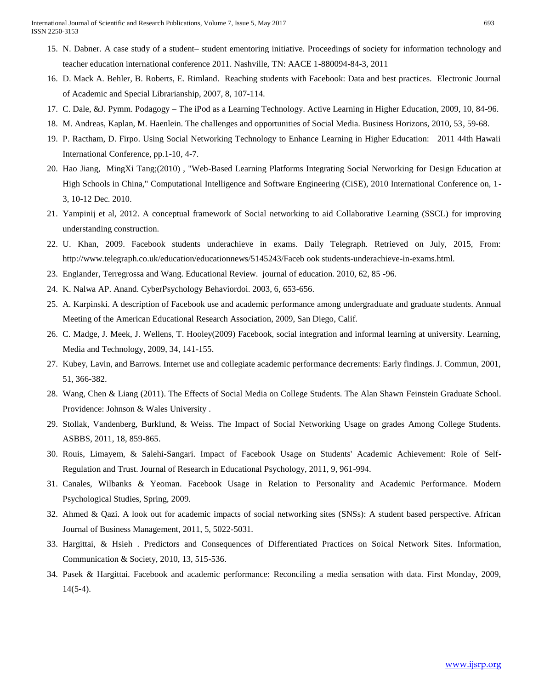- 15. N. Dabner. A case study of a student– student ementoring initiative. Proceedings of society for information technology and teacher education international conference 2011. Nashville, TN: AACE 1-880094-84-3, 2011
- 16. D. Mack A. Behler, B. Roberts, E. Rimland. Reaching students with Facebook: Data and best practices. Electronic Journal of Academic and Special Librarianship, 2007, 8, 107-114.
- 17. C. Dale, &J. Pymm. Podagogy The iPod as a Learning Technology. Active Learning in Higher Education, 2009, 10, 84-96.
- 18. M. Andreas, Kaplan, M. Haenlein. The challenges and opportunities of Social Media. Business Horizons, 2010, 53, 59-68.
- 19. P. Ractham, D. Firpo. Using Social Networking Technology to Enhance Learning in Higher Education: 2011 44th Hawaii International Conference, pp.1-10, 4-7.
- 20. Hao Jiang, MingXi Tang;(2010) , "Web-Based Learning Platforms Integrating Social Networking for Design Education at High Schools in China," Computational Intelligence and Software Engineering (CiSE), 2010 International Conference on, 1- 3, 10-12 Dec. 2010.
- 21. Yampinij et al, 2012. A conceptual framework of Social networking to aid Collaborative Learning (SSCL) for improving understanding construction.
- 22. U. Khan, 2009. Facebook students underachieve in exams. Daily Telegraph. Retrieved on July, 2015, From: http://www.telegraph.co.uk/education/educationnews/5145243/Faceb ook students-underachieve-in-exams.html.
- 23. Englander, Terregrossa and Wang. Educational Review. journal of education. 2010, 62, 85 -96.
- 24. K. Nalwa AP. Anand. CyberPsychology Behaviordoi. 2003, 6, 653-656.
- 25. A. Karpinski. A description of Facebook use and academic performance among undergraduate and graduate students. Annual Meeting of the American Educational Research Association, 2009, San Diego, Calif.
- 26. C. Madge, J. Meek, J. Wellens, T. Hooley(2009) Facebook, social integration and informal learning at university. Learning, Media and Technology, 2009, 34, 141-155.
- 27. Kubey, Lavin, and Barrows. Internet use and collegiate academic performance decrements: Early findings. J. Commun, 2001, 51, 366-382.
- 28. Wang, Chen & Liang (2011). The Effects of Social Media on College Students. The Alan Shawn Feinstein Graduate School. Providence: Johnson & Wales University .
- 29. Stollak, Vandenberg, Burklund, & Weiss. The Impact of Social Networking Usage on grades Among College Students. ASBBS, 2011, 18, 859-865.
- 30. Rouis, Limayem, & Salehi-Sangari. Impact of Facebook Usage on Students' Academic Achievement: Role of Self-Regulation and Trust. Journal of Research in Educational Psychology, 2011, 9, 961-994.
- 31. Canales, Wilbanks & Yeoman. Facebook Usage in Relation to Personality and Academic Performance. Modern Psychological Studies, Spring, 2009.
- 32. Ahmed & Qazi. A look out for academic impacts of social networking sites (SNSs): A student based perspective. African Journal of Business Management, 2011, 5, 5022-5031.
- 33. Hargittai, & Hsieh . Predictors and Consequences of Differentiated Practices on Soical Network Sites. Information, Communication & Society, 2010, 13, 515-536.
- 34. Pasek & Hargittai. Facebook and academic performance: Reconciling a media sensation with data. First Monday, 2009, 14(5-4).